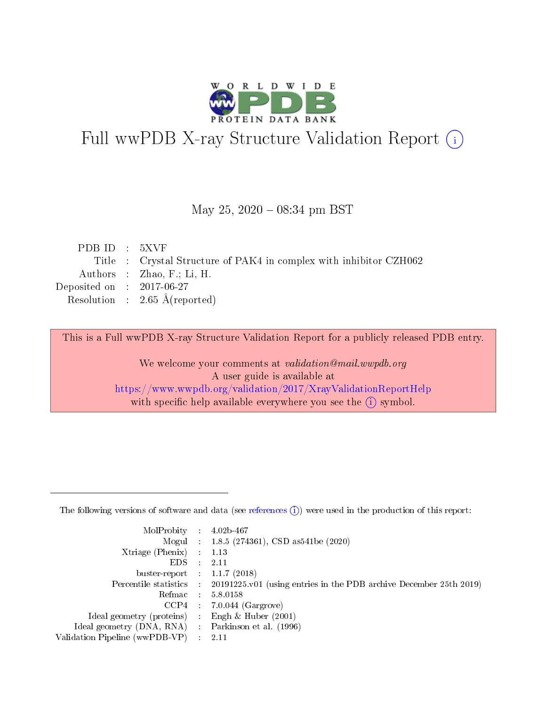

# Full wwPDB X-ray Structure Validation Report (i)

#### May 25,  $2020 - 08:34$  pm BST

| PDBID : 5XVF                |                                                                    |
|-----------------------------|--------------------------------------------------------------------|
|                             | Title : Crystal Structure of PAK4 in complex with inhibitor CZH062 |
|                             | Authors : Zhao, F.; Li, H.                                         |
| Deposited on : $2017-06-27$ |                                                                    |
|                             | Resolution : $2.65 \text{ Å}$ (reported)                           |
|                             |                                                                    |

This is a Full wwPDB X-ray Structure Validation Report for a publicly released PDB entry.

We welcome your comments at validation@mail.wwpdb.org A user guide is available at <https://www.wwpdb.org/validation/2017/XrayValidationReportHelp> with specific help available everywhere you see the  $(i)$  symbol.

The following versions of software and data (see [references](https://www.wwpdb.org/validation/2017/XrayValidationReportHelp#references)  $(1)$ ) were used in the production of this report:

| MolProbity :                   |               | $4.02b - 467$                                                               |
|--------------------------------|---------------|-----------------------------------------------------------------------------|
|                                |               | Mogul : $1.8.5$ (274361), CSD as 541be (2020)                               |
| $X$ triage (Phenix) :          |               | 1.13                                                                        |
| EDS.                           |               | 2.11                                                                        |
| buster-report : $1.1.7$ (2018) |               |                                                                             |
| Percentile statistics :        |               | $20191225 \text{v}01$ (using entries in the PDB archive December 25th 2019) |
| Refmac :                       |               | 5.8.0158                                                                    |
| $CCP4$ :                       |               | $7.0.044$ (Gargrove)                                                        |
| Ideal geometry (proteins) :    |               | Engh $\&$ Huber (2001)                                                      |
| Ideal geometry (DNA, RNA) :    |               | Parkinson et al. (1996)                                                     |
| Validation Pipeline (wwPDB-VP) | $\mathcal{L}$ | 2.11                                                                        |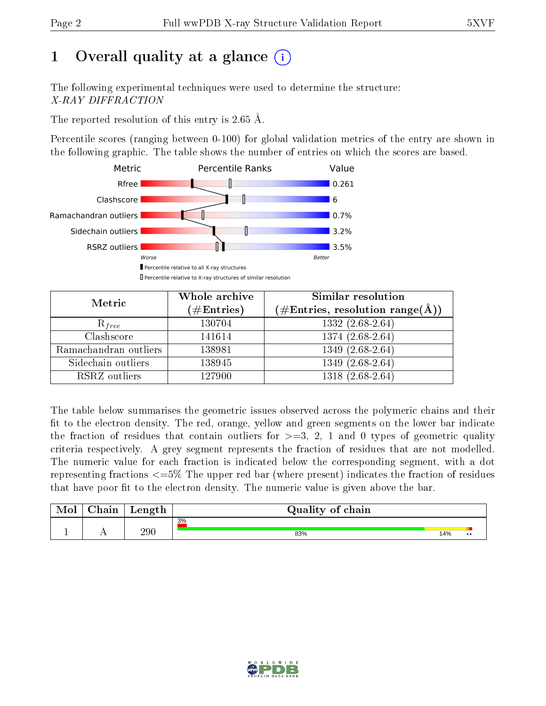# 1 [O](https://www.wwpdb.org/validation/2017/XrayValidationReportHelp#overall_quality)verall quality at a glance  $(i)$

The following experimental techniques were used to determine the structure: X-RAY DIFFRACTION

The reported resolution of this entry is 2.65 Å.

Percentile scores (ranging between 0-100) for global validation metrics of the entry are shown in the following graphic. The table shows the number of entries on which the scores are based.



| Metric                | Whole archive<br>$(\#\text{Entries})$ | Similar resolution<br>$(\#\text{Entries},\, \text{resolution}\; \text{range}(\textup{\AA}))$ |  |  |
|-----------------------|---------------------------------------|----------------------------------------------------------------------------------------------|--|--|
| $R_{free}$            | 130704                                | $1332(2.\overline{68-2.64})$                                                                 |  |  |
| Clashscore            | 141614                                | 1374 (2.68-2.64)                                                                             |  |  |
| Ramachandran outliers | 138981                                | $1349(2.68-2.64)$                                                                            |  |  |
| Sidechain outliers    | 138945                                | $1349(2.68-2.64)$                                                                            |  |  |
| RSRZ outliers         | 127900                                | 1318 (2.68-2.64)                                                                             |  |  |

The table below summarises the geometric issues observed across the polymeric chains and their fit to the electron density. The red, orange, yellow and green segments on the lower bar indicate the fraction of residues that contain outliers for  $>=3, 2, 1$  and 0 types of geometric quality criteria respectively. A grey segment represents the fraction of residues that are not modelled. The numeric value for each fraction is indicated below the corresponding segment, with a dot representing fractions  $\epsilon=5\%$  The upper red bar (where present) indicates the fraction of residues that have poor fit to the electron density. The numeric value is given above the bar.

| Mol | $\cap$ hain | Length | Quality of chain |     |                  |  |  |  |  |
|-----|-------------|--------|------------------|-----|------------------|--|--|--|--|
|     |             |        | 3%               |     |                  |  |  |  |  |
|     |             | 290    | 83%              | 14% | $\bullet\bullet$ |  |  |  |  |

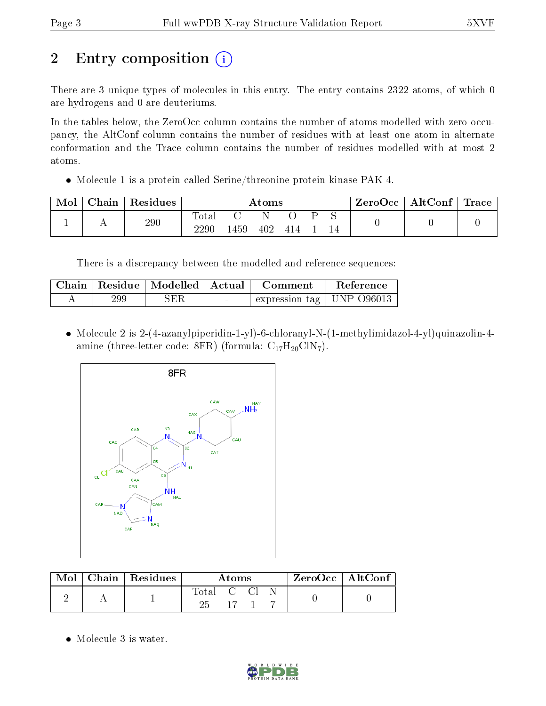# 2 Entry composition  $\left( \cdot \right)$

There are 3 unique types of molecules in this entry. The entry contains 2322 atoms, of which 0 are hydrogens and 0 are deuteriums.

In the tables below, the ZeroOcc column contains the number of atoms modelled with zero occupancy, the AltConf column contains the number of residues with at least one atom in alternate conformation and the Trace column contains the number of residues modelled with at most 2 atoms.

Molecule 1 is a protein called Serine/threonine-protein kinase PAK 4.

| Mol | ${\rm Chain}$ | Residues | $\rm\bf Atoms$    |      |     |     |  | ZeroOcc | $\mid$ AltConf $\mid$ Trace |  |  |
|-----|---------------|----------|-------------------|------|-----|-----|--|---------|-----------------------------|--|--|
|     |               | 290      | Total<br>$2290\,$ | 1459 | 402 | 414 |  |         |                             |  |  |

There is a discrepancy between the modelled and reference sequences:

|     | Chain   Residue   Modelled   Actual |        | – Comment                      | Reference |
|-----|-------------------------------------|--------|--------------------------------|-----------|
| 299 | ${\rm SER}$                         | $\sim$ | expression tag   UNP $O$ 96013 |           |

 Molecule 2 is 2-(4-azanylpiperidin-1-yl)-6-chloranyl-N-(1-methylimidazol-4-yl)quinazolin-4 amine (three-letter code: 8FR) (formula:  $C_{17}H_{20}CIN_7$ ).



| Mol | Chain   Residues | Atoms            |    |  |  | $ZeroOcc \   \ AltConf$ |
|-----|------------------|------------------|----|--|--|-------------------------|
|     |                  | Total C Cl<br>25 | 17 |  |  |                         |

• Molecule 3 is water.

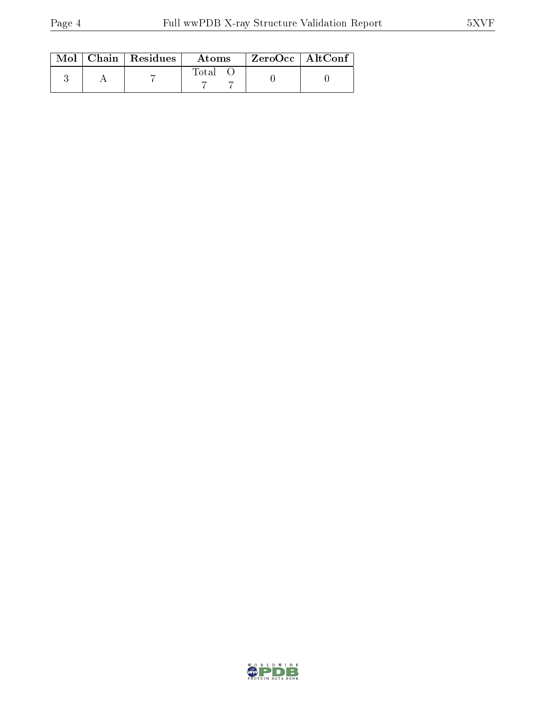|  | $\text{Mol}$   Chain   Residues | Atoms       | $^\top$ ZeroOcc   AltConf |  |
|--|---------------------------------|-------------|---------------------------|--|
|  |                                 | $\rm Total$ |                           |  |

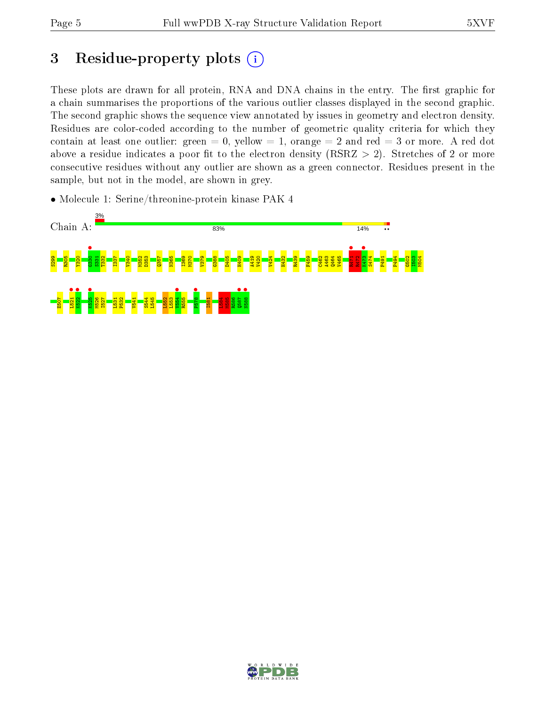# 3 Residue-property plots  $(i)$

These plots are drawn for all protein, RNA and DNA chains in the entry. The first graphic for a chain summarises the proportions of the various outlier classes displayed in the second graphic. The second graphic shows the sequence view annotated by issues in geometry and electron density. Residues are color-coded according to the number of geometric quality criteria for which they contain at least one outlier: green  $= 0$ , yellow  $= 1$ , orange  $= 2$  and red  $= 3$  or more. A red dot above a residue indicates a poor fit to the electron density (RSRZ  $> 2$ ). Stretches of 2 or more consecutive residues without any outlier are shown as a green connector. Residues present in the sample, but not in the model, are shown in grey.

• Molecule 1: Serine/threonine-protein kinase PAK 4



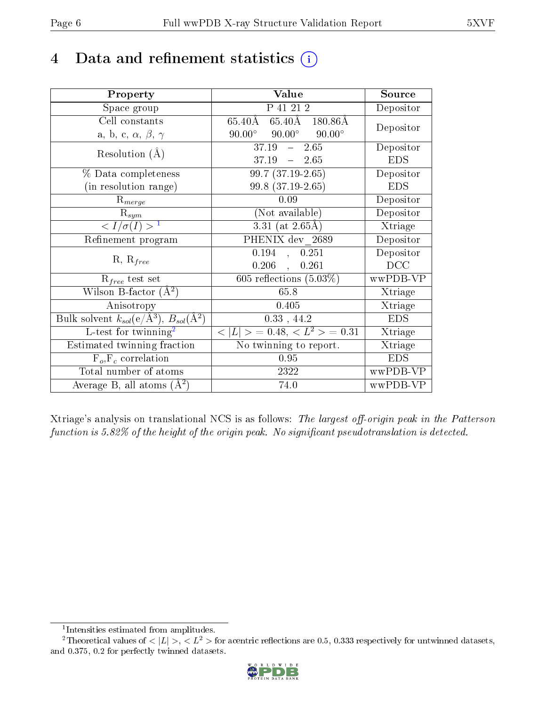## 4 Data and refinement statistics  $(i)$

| Property                                                                 | Value                                            | Source     |
|--------------------------------------------------------------------------|--------------------------------------------------|------------|
| Space group                                                              | P 41 21 2                                        | Depositor  |
| Cell constants                                                           | 65.40Å 180.86Å<br>65.40Å                         |            |
| a, b, c, $\alpha$ , $\beta$ , $\gamma$                                   | $90.00^{\circ}$ $90.00^{\circ}$<br>$90.00^\circ$ | Depositor  |
| Resolution $(A)$                                                         | $37.19 - 2.65$                                   | Depositor  |
|                                                                          | 37.19<br>$-2.65$                                 | <b>EDS</b> |
| % Data completeness                                                      | $99.7(37.19-2.65)$                               | Depositor  |
| (in resolution range)                                                    | 99.8 (37.19-2.65)                                | <b>EDS</b> |
| $R_{merge}$                                                              | 0.09                                             | Depositor  |
| $\mathrm{R}_{sym}$                                                       | (Not available)                                  | Depositor  |
| $\langle I/\sigma(I) \rangle^{-1}$                                       | $3.31$ (at 2.65Å)                                | Xtriage    |
| Refinement program                                                       | PHENIX dev 2689                                  | Depositor  |
| $R, R_{free}$                                                            | 0.194<br>0.251<br>$\mathbf{A}$                   | Depositor  |
|                                                                          | $0.206$ ,<br>0.261                               | DCC        |
| $\mathcal{R}_{free}$ test set                                            | 605 reflections $(5.03\%)$                       | wwPDB-VP   |
| Wilson B-factor $(A^2)$                                                  | 65.8                                             | Xtriage    |
| Anisotropy                                                               | 0.405                                            | Xtriage    |
| Bulk solvent $k_{sol}(\mathrm{e}/\mathrm{A}^3),$ $B_{sol}(\mathrm{A}^2)$ | $0.33$ , 44.2                                    | <b>EDS</b> |
| L-test for twinning <sup>2</sup>                                         | $< L >$ = 0.48, $< L2 >$ = 0.31                  | Xtriage    |
| Estimated twinning fraction                                              | $\overline{\text{No}}$ twinning to report.       | Xtriage    |
| $F_o, F_c$ correlation                                                   | 0.95                                             | <b>EDS</b> |
| Total number of atoms                                                    | 2322                                             | wwPDB-VP   |
| Average B, all atoms $(A^2)$                                             | 74.0                                             | wwPDB-VP   |

Xtriage's analysis on translational NCS is as follows: The largest off-origin peak in the Patterson function is  $5.82\%$  of the height of the origin peak. No significant pseudotranslation is detected.

<sup>&</sup>lt;sup>2</sup>Theoretical values of  $\langle |L| \rangle$ ,  $\langle L^2 \rangle$  for acentric reflections are 0.5, 0.333 respectively for untwinned datasets, and 0.375, 0.2 for perfectly twinned datasets.



<span id="page-5-1"></span><span id="page-5-0"></span><sup>1</sup> Intensities estimated from amplitudes.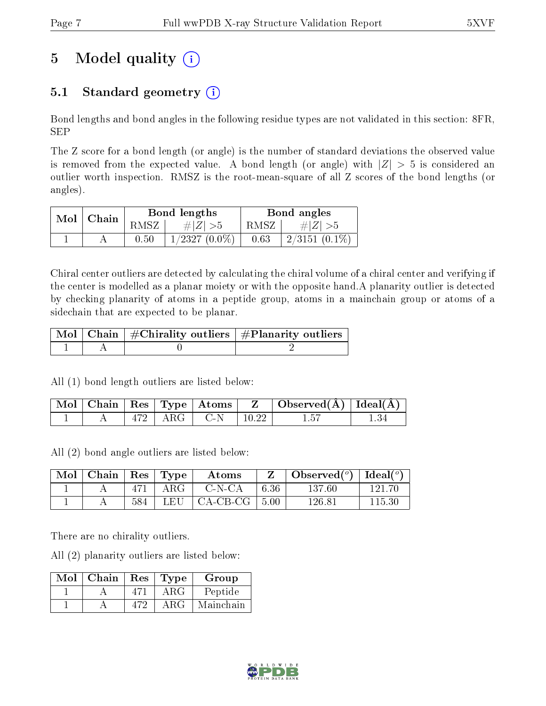# 5 Model quality  $(i)$

## 5.1 Standard geometry  $(i)$

Bond lengths and bond angles in the following residue types are not validated in this section: 8FR, SEP

The Z score for a bond length (or angle) is the number of standard deviations the observed value is removed from the expected value. A bond length (or angle) with  $|Z| > 5$  is considered an outlier worth inspection. RMSZ is the root-mean-square of all Z scores of the bond lengths (or angles).

|  | $Mol$   Chain |      | Bond lengths    | Bond angles |                             |  |
|--|---------------|------|-----------------|-------------|-----------------------------|--|
|  |               | RMSZ | # $ Z  > 5$     | $RMSZ_1$    | $\# Z  > 5$                 |  |
|  |               | 0.50 | $1/2327(0.0\%)$ | 0.63        | $\frac{1}{2}$ 2/3151 (0.1%) |  |

Chiral center outliers are detected by calculating the chiral volume of a chiral center and verifying if the center is modelled as a planar moiety or with the opposite hand.A planarity outlier is detected by checking planarity of atoms in a peptide group, atoms in a mainchain group or atoms of a sidechain that are expected to be planar.

|  | $\mid$ Mol $\mid$ Chain $\mid$ #Chirality outliers $\mid$ #Planarity outliers $\mid$ |
|--|--------------------------------------------------------------------------------------|
|  |                                                                                      |

All (1) bond length outliers are listed below:

|  |      | $\mid$ Mol $\mid$ Chain $\mid$ Res $\mid$ Type $\mid$ Atoms $\mid$ | $\mathbf{Z}$ | $\mid$ Observed( $\AA$ ) $\mid$ Ideal( $\AA$ ) |  |
|--|------|--------------------------------------------------------------------|--------------|------------------------------------------------|--|
|  | ARG. | C-N                                                                |              |                                                |  |

All (2) bond angle outliers are listed below:

| $\vert$ Mol $\vert$ Chain $\vert$ Res $\vert$ Type $\vert$ |     |             | Atoms                             |      | $\mid$ Observed( $^o$ ) $\mid$ Ideal( $^o$ ) $\mid$ |        |
|------------------------------------------------------------|-----|-------------|-----------------------------------|------|-----------------------------------------------------|--------|
|                                                            |     | $471$   ARG | C-N-CA                            | 6.36 | 137.60                                              | 121.70 |
|                                                            | 584 |             | LEU $\vert$ CA-CB-CG $\vert$ 5.00 |      | 126.81                                              | 115.30 |

There are no chirality outliers.

All (2) planarity outliers are listed below:

| Mol | Chain | Res | Type | Group     |
|-----|-------|-----|------|-----------|
|     |       |     | ΑRG  | Peptide   |
|     |       |     | ARG  | Mainchain |

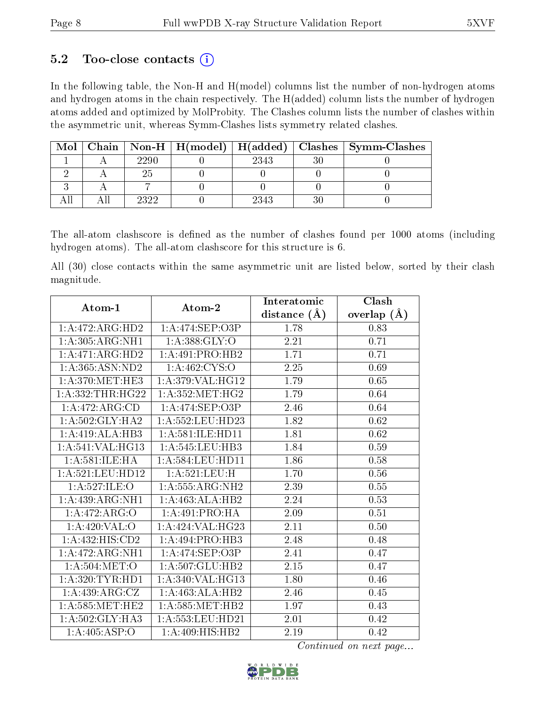### 5.2 Too-close contacts  $(i)$

In the following table, the Non-H and H(model) columns list the number of non-hydrogen atoms and hydrogen atoms in the chain respectively. The H(added) column lists the number of hydrogen atoms added and optimized by MolProbity. The Clashes column lists the number of clashes within the asymmetric unit, whereas Symm-Clashes lists symmetry related clashes.

| Mol |      | Chain   Non-H   $H (model)$   $H (added)$ |      | Clashes   Symm-Clashes |
|-----|------|-------------------------------------------|------|------------------------|
|     | 2290 |                                           | 2343 |                        |
|     |      |                                           |      |                        |
|     |      |                                           |      |                        |
|     | วววว |                                           | 2343 |                        |

The all-atom clashscore is defined as the number of clashes found per 1000 atoms (including hydrogen atoms). The all-atom clashscore for this structure is 6.

All (30) close contacts within the same asymmetric unit are listed below, sorted by their clash magnitude.

| Atom-1                       | Atom-2               | Interatomic       | Clash             |
|------------------------------|----------------------|-------------------|-------------------|
|                              |                      | distance $(A)$    | overlap $(A)$     |
| 1:A:472:ARG:HD2              | 1:A:474:SEP:O3P      | 1.78              | 0.83              |
| 1:A:305:ARG:NH1              | 1: A: 388: GLY: O    | 2.21              | 0.71              |
| 1:A:471:ARG:HD2              | 1:A:491:PRO:HB2      | 1.71              | 0.71              |
| 1:A:365:ASN:ND2              | 1: A:462: CYS:O      | 2.25              | 0.69              |
| 1: A:370:MET:HE3             | 1: A:379: VAL:HG12   | 1.79              | 0.65              |
| 1: A: 332: THR: HG22         | 1: A:352: MET:HG2    | 1.79              | 0.64              |
| 1:A:472:ARG:CD               | 1:A:474:SEP:O3P      | 2.46              | 0.64              |
| 1: A:502: GLY:HA2            | 1: A: 552: LEU: HD23 | 1.82              | 0.62              |
| 1:A:419:ALA:HB3              | 1: A:581: ILE: HD11  | $\overline{1.81}$ | $\overline{0.62}$ |
| 1:A:541:VAL:HG13             | $1: A: 545:$ LEU:HB3 | 1.84              | 0.59              |
| 1: A:581: ILE: HA            | 1: A: 584: LEU: HD11 | 1.86              | 0.58              |
| $1: A:521:$ LEU:HD12         | 1:A:521:LEU:H        | 1.70              | 0.56              |
| 1: A:527: ILE: O             | 1: A: 555: ARG: NH2  | 2.39              | 0.55              |
| 1:A:439:ARG:NH1              | 1:A:463:ALA:HB2      | 2.24              | 0.53              |
| 1:A:472:ARG:O                | 1: A:491: PRO:HA     | 2.09              | 0.51              |
| 1: A:420: VAL:O              | 1:A:424:VAL:HG23     | 2.11              | 0.50              |
| 1:A:432:HIS:CD2              | 1:A:494:PRO:HB3      | 2.48              | 0.48              |
| $1:A:472:ARG:\overline{NH1}$ | 1:A:474:SEP:O3P      | 2.41              | 0.47              |
| 1: A:504:MET:O               | 1: A: 507: GLU: HB2  | 2.15              | 0.47              |
| 1: A:320: TYR: HD1           | 1: A:340: VAL:HG13   | 1.80              | 0.46              |
| 1: A:439: ARG: CZ            | 1:A:463:ALA:HB2      | 2.46              | 0.45              |
| 1: A:585: MET:HE2            | 1: A:585: MET:HB2    | 1.97              | 0.43              |
| 1: A:502: GLY:HA3            | 1: A: 553: LEU: HD21 | 2.01              | 0.42              |
| 1:A:405:ASP:O                | 1:A:409:HIS:HB2      | 2.19              | 0.42              |

Continued on next page...

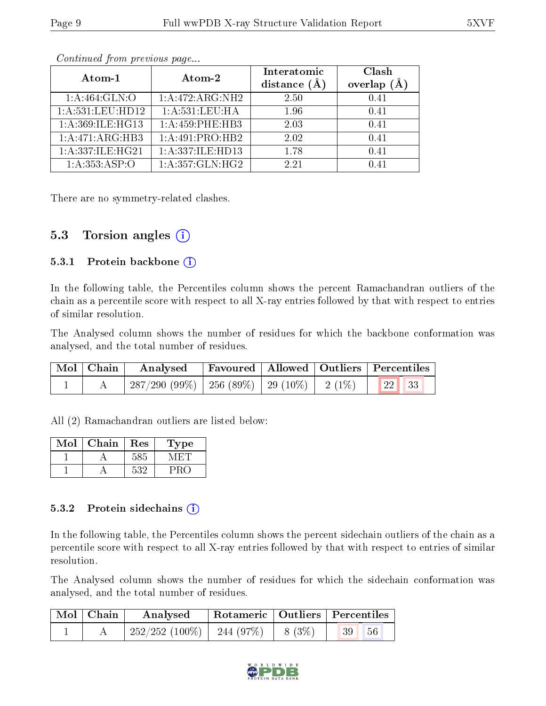| Atom-1           | Atom-2                      | Interatomic    | Clash         |
|------------------|-----------------------------|----------------|---------------|
|                  |                             | distance $(A)$ | overlap $(A)$ |
| 1: A:464: GLN:O  | 1:A:472:ARG:NH2             | 2.50           | 0.41          |
| 1:A:531:LEU:HD12 | $1:A:\overline{531:LEU:HA}$ | 1.96           | 0.41          |
| 1:A:369:ILE:HG13 | 1:A:459:PHE:HB3             | 2.03           | 0.41          |
| 1:A:471:ARG:HB3  | 1:A:491:PRO:HB2             | 2.02           | 0.41          |
| 1:A:337:ILE:HG21 | 1: A: 337: ILE: HD13        | 1.78           | 0.41          |
| 1:A:353:ASP:O    | 1: A:357: GLN: HG2          | 2.21           | በ 41          |

Continued from previous page...

There are no symmetry-related clashes.

### 5.3 Torsion angles  $(i)$

#### 5.3.1 Protein backbone  $(i)$

In the following table, the Percentiles column shows the percent Ramachandran outliers of the chain as a percentile score with respect to all X-ray entries followed by that with respect to entries of similar resolution.

The Analysed column shows the number of residues for which the backbone conformation was analysed, and the total number of residues.

|  |                                                              | $\mid$ Mol $\mid$ Chain $\mid$ Analysed $\mid$ Favoured $\mid$ Allowed $\mid$ Outliers $\mid$ Percentiles $\mid$ |  |  |
|--|--------------------------------------------------------------|------------------------------------------------------------------------------------------------------------------|--|--|
|  | $\mid$ 287/290 (99%)   256 (89%)   29 (10%)   2 (1%)   22 33 |                                                                                                                  |  |  |

All (2) Ramachandran outliers are listed below:

| Mol | Chain | Res | Type |
|-----|-------|-----|------|
|     |       | 585 |      |
|     |       | 532 |      |

#### 5.3.2 Protein sidechains  $(i)$

In the following table, the Percentiles column shows the percent sidechain outliers of the chain as a percentile score with respect to all X-ray entries followed by that with respect to entries of similar resolution.

The Analysed column shows the number of residues for which the sidechain conformation was analysed, and the total number of residues.

| $\mid$ Mol $\mid$ Chain | Analysed                              | Rotameric   Outliers   Percentiles |                       |  |
|-------------------------|---------------------------------------|------------------------------------|-----------------------|--|
|                         | $252/252(100\%)$   244 (97%)   8 (3%) |                                    | 56<br>39 <sup>°</sup> |  |

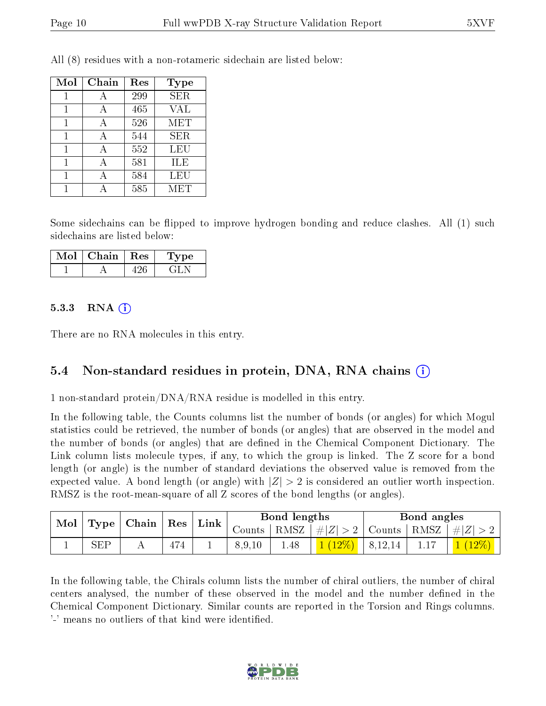| Mol | Chain | Res | <b>Type</b>             |
|-----|-------|-----|-------------------------|
|     |       | 299 | $\overline{\text{SER}}$ |
|     |       | 465 | VAL                     |
| 1   |       | 526 | MET                     |
| 1   | А     | 544 | <b>SER</b>              |
|     |       | 552 | LEU                     |
|     |       | 581 | ILE                     |
|     |       | 584 | LEU                     |
|     |       | 585 | MET                     |

All (8) residues with a non-rotameric sidechain are listed below:

Some sidechains can be flipped to improve hydrogen bonding and reduce clashes. All (1) such sidechains are listed below:

| Mol∣ | Chain   Res | Type |
|------|-------------|------|
|      |             |      |

#### $5.3.3$  RNA  $(i)$

There are no RNA molecules in this entry.

### 5.4 Non-standard residues in protein, DNA, RNA chains (i)

1 non-standard protein/DNA/RNA residue is modelled in this entry.

In the following table, the Counts columns list the number of bonds (or angles) for which Mogul statistics could be retrieved, the number of bonds (or angles) that are observed in the model and the number of bonds (or angles) that are dened in the Chemical Component Dictionary. The Link column lists molecule types, if any, to which the group is linked. The Z score for a bond length (or angle) is the number of standard deviations the observed value is removed from the expected value. A bond length (or angle) with  $|Z| > 2$  is considered an outlier worth inspection. RMSZ is the root-mean-square of all Z scores of the bond lengths (or angles).

| Mol        |  | $\vert$ Type $\vert$ Chain $\vert$ Res $\vert$ Link $\vert$ |        |        |      |                                                    |  | Bond lengths |  | Bond angles |  |
|------------|--|-------------------------------------------------------------|--------|--------|------|----------------------------------------------------|--|--------------|--|-------------|--|
|            |  |                                                             | Counts |        |      | RMSZ   $\# Z  > 2$   Counts   RMSZ   $\# Z  > 2$ ' |  |              |  |             |  |
| <b>SEP</b> |  | 474                                                         |        | 8.9.10 | 1.48 | $1(12\%)$   8,12,14                                |  |              |  |             |  |

In the following table, the Chirals column lists the number of chiral outliers, the number of chiral centers analysed, the number of these observed in the model and the number defined in the Chemical Component Dictionary. Similar counts are reported in the Torsion and Rings columns. '-' means no outliers of that kind were identified.

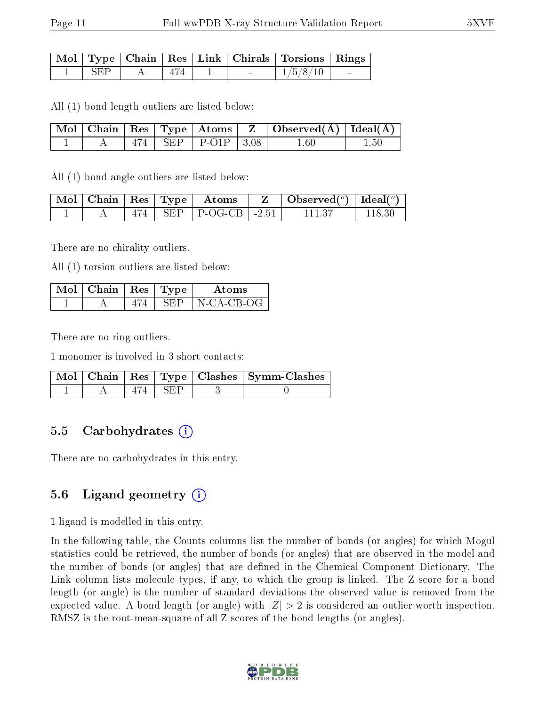|      |     |  | Mol   Type   Chain   Res   Link   Chirals   Torsions   Rings |        |
|------|-----|--|--------------------------------------------------------------|--------|
| -SEP | 474 |  | 1/5/8/10                                                     | $\sim$ |

All (1) bond length outliers are listed below:

|  |  |                            | $\mid$ Mol $\mid$ Chain $\mid$ Res $\mid$ Type $\mid$ Atoms $\mid$ Z $\mid$ Observed(A) $\mid$ Ideal(A) |  |
|--|--|----------------------------|---------------------------------------------------------------------------------------------------------|--|
|  |  | $474$   SEP   P-O1P   3.08 | $1.60\,$                                                                                                |  |

All (1) bond angle outliers are listed below:

|  |  | $\mid$ Mol $\mid$ Chain $\mid$ Res $\mid$ Type $\mid$ $\mid$ Atoms $\mid$ | $\Box$ Observed $(^\circ)$ $\Box$ Ideal $(^\circ)$ |  |
|--|--|---------------------------------------------------------------------------|----------------------------------------------------|--|
|  |  | $\parallel$ SEP $\parallel$ P-OG-CB $\parallel$ -2.51                     |                                                    |  |

There are no chirality outliers.

All (1) torsion outliers are listed below:

| $Mol$   Chain   Res   Type |      | Atoms      |
|----------------------------|------|------------|
|                            | REF. | N-CA-CB-OG |

There are no ring outliers.

1 monomer is involved in 3 short contacts:

|  |       | Mol   Chain   Res   Type   Clashes   Symm-Clashes |
|--|-------|---------------------------------------------------|
|  | I SEP |                                                   |

### 5.5 Carbohydrates  $(i)$

There are no carbohydrates in this entry.

### 5.6 Ligand geometry  $(i)$

1 ligand is modelled in this entry.

In the following table, the Counts columns list the number of bonds (or angles) for which Mogul statistics could be retrieved, the number of bonds (or angles) that are observed in the model and the number of bonds (or angles) that are defined in the Chemical Component Dictionary. The Link column lists molecule types, if any, to which the group is linked. The Z score for a bond length (or angle) is the number of standard deviations the observed value is removed from the expected value. A bond length (or angle) with  $|Z| > 2$  is considered an outlier worth inspection. RMSZ is the root-mean-square of all Z scores of the bond lengths (or angles).

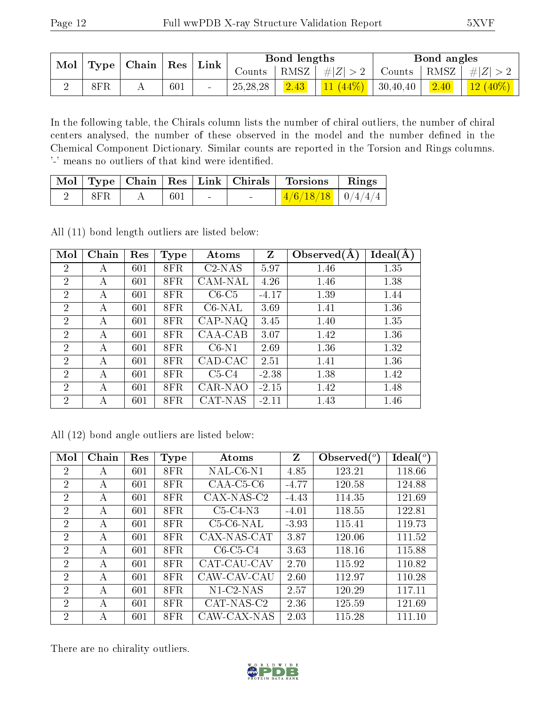| $\mid$ Mol $\mid$ Type $\mid$ Chain |  |     | $\perp$ $\rm Res \perp$ Link $\perp$ | Bond lengths |      |                      | Bond angles |  |                                       |
|-------------------------------------|--|-----|--------------------------------------|--------------|------|----------------------|-------------|--|---------------------------------------|
|                                     |  |     |                                      | Counts       |      | $ RMSZ $ # $ Z  > 2$ |             |  | Counts   RMSZ   $\# Z  > 2$           |
| 8FR                                 |  | 601 | $\sim$                               | 25, 28, 28   | 2.43 | $11(44\%)$ 30,40,40  |             |  | $\vert$ 2.40 $\vert$ 12 (40%) $\vert$ |

In the following table, the Chirals column lists the number of chiral outliers, the number of chiral centers analysed, the number of these observed in the model and the number defined in the Chemical Component Dictionary. Similar counts are reported in the Torsion and Rings columns. '-' means no outliers of that kind were identified.

|     |     |                 |        | Mol   Type   Chain   Res   Link   Chirals   Torsions   Rings |  |
|-----|-----|-----------------|--------|--------------------------------------------------------------|--|
| 8FR | 601 | <b>Contract</b> | $\sim$ | $\mid$ 4/6/18/18 $\mid$ 0/4/4/4 $\mid$                       |  |

All (11) bond length outliers are listed below:

| Mol            | Chain | Res | Type | Atoms     | Z       | Observed $(A)$ | Ideal(A) |
|----------------|-------|-----|------|-----------|---------|----------------|----------|
| $\overline{2}$ | А     | 601 | 8FR  | $C2-NAS$  | 5.97    | 1.46           | 1.35     |
| $\overline{2}$ | А     | 601 | 8FR  | CAM-NAL   | 4.26    | 1.46           | 1.38     |
| $\overline{2}$ | А     | 601 | 8FR  | $C6-C5$   | $-4.17$ | 1.39           | 1.44     |
| 2              | А     | 601 | 8FR  | $C6$ -NAL | 3.69    | 1.41           | 1.36     |
| 2              | А     | 601 | 8FR  | $CAP-NAQ$ | 3.45    | 1.40           | 1.35     |
| $\overline{2}$ | А     | 601 | 8FR  | CAA-CAB   | 3.07    | 1.42           | 1.36     |
| $\overline{2}$ | А     | 601 | 8FR  | $C6-N1$   | 2.69    | 1.36           | 1.32     |
| $\overline{2}$ | А     | 601 | 8FR  | CAD-CAC   | 2.51    | 1.41           | 1.36     |
| $\overline{2}$ | А     | 601 | 8FR  | $C5-C4$   | $-2.38$ | 1.38           | 1.42     |
| $\overline{2}$ | А     | 601 | 8FR  | CAR-NAO   | $-2.15$ | 1.42           | 1.48     |
| $\overline{2}$ | А     | 601 | 8FR  | CAT-NAS   | $-2.11$ | 1.43           | 1.46     |

|  |  | All (12) bond angle outliers are listed below: |  |  |
|--|--|------------------------------------------------|--|--|
|  |  |                                                |  |  |

| Mol            | Chain        | Res | Type | Atoms        | Z       | Observed $(°)$ | $\text{Ideal}({}^o)$ |
|----------------|--------------|-----|------|--------------|---------|----------------|----------------------|
| $\overline{2}$ | А            | 601 | 8FR  | $NAL-C6-N1$  | 4.85    | 123.21         | 118.66               |
| $\overline{2}$ | А            | 601 | 8FR  | $CAA-C5-C6$  | $-4.77$ | 120.58         | 124.88               |
| $\overline{2}$ | А            | 601 | 8FR  | CAX-NAS-C2   | $-4.43$ | 114.35         | 121.69               |
| 2              | A            | 601 | 8FR. | $C5-C4-N3$   | $-4.01$ | 118.55         | 122.81               |
| 2              | $\mathsf{A}$ | 601 | 8FR. | $C5-C6-NAL$  | $-3.93$ | 115.41         | 119.73               |
| $\overline{2}$ | А            | 601 | 8FR  | CAX-NAS-CAT  | 3.87    | 120.06         | 111.52               |
| $\overline{2}$ | А            | 601 | 8FR  | $C6-C5-C4$   | 3.63    | 118.16         | 115.88               |
| $\overline{2}$ | А            | 601 | 8FR  | CAT-CAU-CAV  | 2.70    | 115.92         | 110.82               |
| $\overline{2}$ | A            | 601 | 8FR  | CAW-CAV-CAU  | 2.60    | 112.97         | 110.28               |
| 2              | $\mathsf{A}$ | 601 | 8FR. | $N1$ -C2-NAS | 2.57    | 120.29         | 117.11               |
| $\overline{2}$ | А            | 601 | 8FR. | CAT-NAS-C2   | 2.36    | 125.59         | 121.69               |
| 2              | А            | 601 | 8FR  | CAW-CAX-NAS  | 2.03    | 115.28         | 111.10               |

There are no chirality outliers.

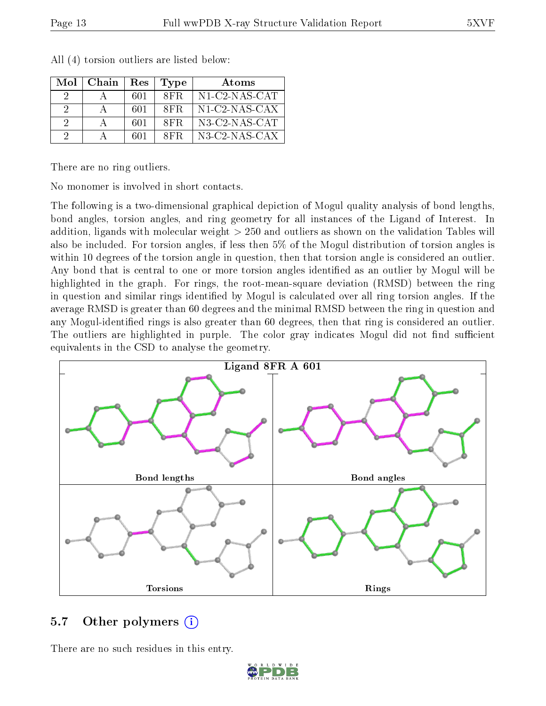| Mol | Chain | Res | Type | Atoms                                                   |
|-----|-------|-----|------|---------------------------------------------------------|
|     |       | 601 | 8FR. | $N1$ -C2-NAS-CAT                                        |
| 2   |       | 601 | 8FR. | $N1$ -C2-NAS-CAX                                        |
| -2  |       | 601 | 8FR. | $N3$ -C2-NAS-CAT                                        |
| 9   |       | 601 | 8FR. | $N3$ -C <sub>2</sub> -N <sub>AS</sub> -C <sub>A</sub> X |

All (4) torsion outliers are listed below:

There are no ring outliers.

No monomer is involved in short contacts.

The following is a two-dimensional graphical depiction of Mogul quality analysis of bond lengths, bond angles, torsion angles, and ring geometry for all instances of the Ligand of Interest. In addition, ligands with molecular weight > 250 and outliers as shown on the validation Tables will also be included. For torsion angles, if less then 5% of the Mogul distribution of torsion angles is within 10 degrees of the torsion angle in question, then that torsion angle is considered an outlier. Any bond that is central to one or more torsion angles identified as an outlier by Mogul will be highlighted in the graph. For rings, the root-mean-square deviation (RMSD) between the ring in question and similar rings identified by Mogul is calculated over all ring torsion angles. If the average RMSD is greater than 60 degrees and the minimal RMSD between the ring in question and any Mogul-identied rings is also greater than 60 degrees, then that ring is considered an outlier. The outliers are highlighted in purple. The color gray indicates Mogul did not find sufficient equivalents in the CSD to analyse the geometry.



### 5.7 [O](https://www.wwpdb.org/validation/2017/XrayValidationReportHelp#nonstandard_residues_and_ligands)ther polymers  $(i)$

There are no such residues in this entry.

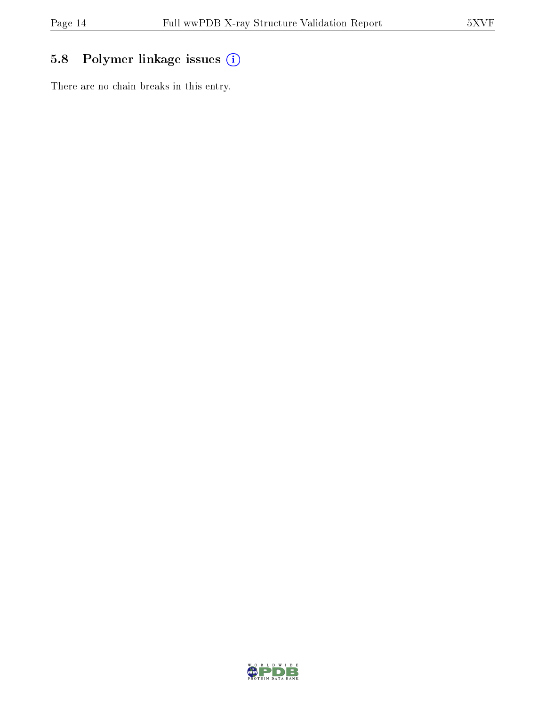## 5.8 Polymer linkage issues (i)

There are no chain breaks in this entry.

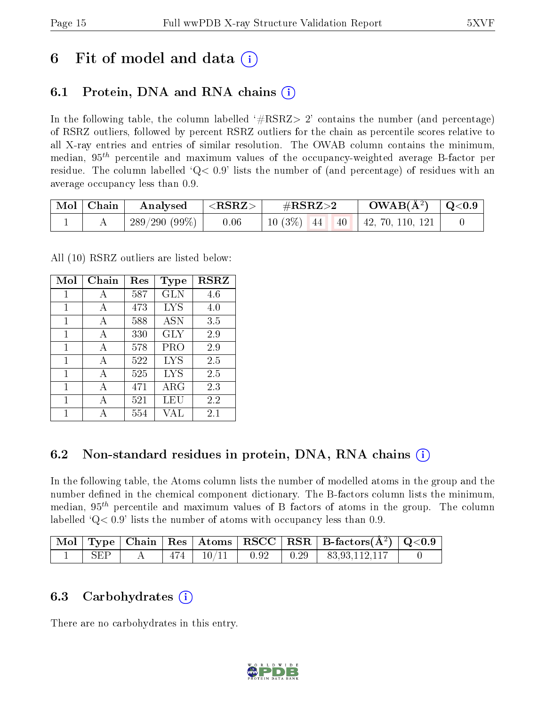## 6 Fit of model and data  $\circ$

### 6.1 Protein, DNA and RNA chains (i)

In the following table, the column labelled  $#RSRZ>2'$  contains the number (and percentage) of RSRZ outliers, followed by percent RSRZ outliers for the chain as percentile scores relative to all X-ray entries and entries of similar resolution. The OWAB column contains the minimum, median,  $95<sup>th</sup>$  percentile and maximum values of the occupancy-weighted average B-factor per residue. The column labelled ' $Q< 0.9$ ' lists the number of (and percentage) of residues with an average occupancy less than 0.9.

| $\bf{Mol}$ | Chain | Analysed        | ${ <\hspace{-1.5pt} {\bf RSRZ} \hspace{-1.5pt}>}$ | $\#\text{RSRZ}\text{>2}$ | $OWAB(A^2)$              | $\mid$ Q<0.9 $\mid$ |
|------------|-------|-----------------|---------------------------------------------------|--------------------------|--------------------------|---------------------|
|            |       | $289/290(99\%)$ | 0.06                                              | $10(3\%)$ 44<br>40       | $\vert$ 42, 70, 110, 121 |                     |

All (10) RSRZ outliers are listed below:

| Mol          | Chain | Res | Type        | <b>RSRZ</b> |
|--------------|-------|-----|-------------|-------------|
| 1            | A     | 587 | <b>GLN</b>  | 4.6         |
| $\mathbf{1}$ | A     | 473 | LYS         | 4.0         |
| 1            | A     | 588 | <b>ASN</b>  | 3.5         |
| 1            | A     | 330 | GLY         | 2.9         |
| 1            | A     | 578 | PRO         | 2.9         |
| 1            | A     | 522 | LYS         | 2.5         |
| 1            | A     | 525 | LYS         | 2.5         |
| 1            | A     | 471 | ${\rm ARG}$ | 2.3         |
| 1            | А     | 521 | LEU         | 2.2         |
| 1            |       | 554 | VAL         | $2.1\,$     |

### 6.2 Non-standard residues in protein, DNA, RNA chains (i)

In the following table, the Atoms column lists the number of modelled atoms in the group and the number defined in the chemical component dictionary. The B-factors column lists the minimum, median,  $95<sup>th</sup>$  percentile and maximum values of B factors of atoms in the group. The column labelled  $Q< 0.9$  lists the number of atoms with occupancy less than 0.9.

|     |  |  | $\boxed{\text{Mol}}$ Type   Chain   Res   Atoms $\boxed{\text{RSCC}}$   RSR   B-factors( $\AA^2$ )   Q<0.9 |  |
|-----|--|--|------------------------------------------------------------------------------------------------------------|--|
| SEP |  |  | $-474$   $10/11$   $0.92$   $0.29$   $83.93.112.117$                                                       |  |

### 6.3 Carbohydrates  $(i)$

There are no carbohydrates in this entry.

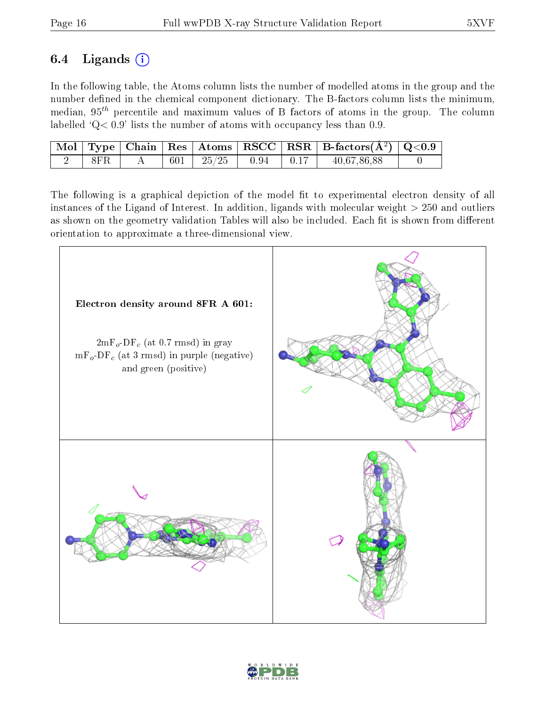### 6.4 Ligands  $(i)$

In the following table, the Atoms column lists the number of modelled atoms in the group and the number defined in the chemical component dictionary. The B-factors column lists the minimum, median,  $95<sup>th</sup>$  percentile and maximum values of B factors of atoms in the group. The column labelled ' $Q< 0.9$ ' lists the number of atoms with occupancy less than 0.9.

|     |         |                       |                  | Mol   Type   Chain   Res   Atoms   RSCC   RSR   B-factors $(A^2)$   Q<0.9 |  |
|-----|---------|-----------------------|------------------|---------------------------------------------------------------------------|--|
| 8FR | $601$ . | $1\quad 25/25$   0.94 | $\parallel$ 0.17 | 40,67,86,88                                                               |  |

The following is a graphical depiction of the model fit to experimental electron density of all instances of the Ligand of Interest. In addition, ligands with molecular weight  $> 250$  and outliers as shown on the geometry validation Tables will also be included. Each fit is shown from different orientation to approximate a three-dimensional view.